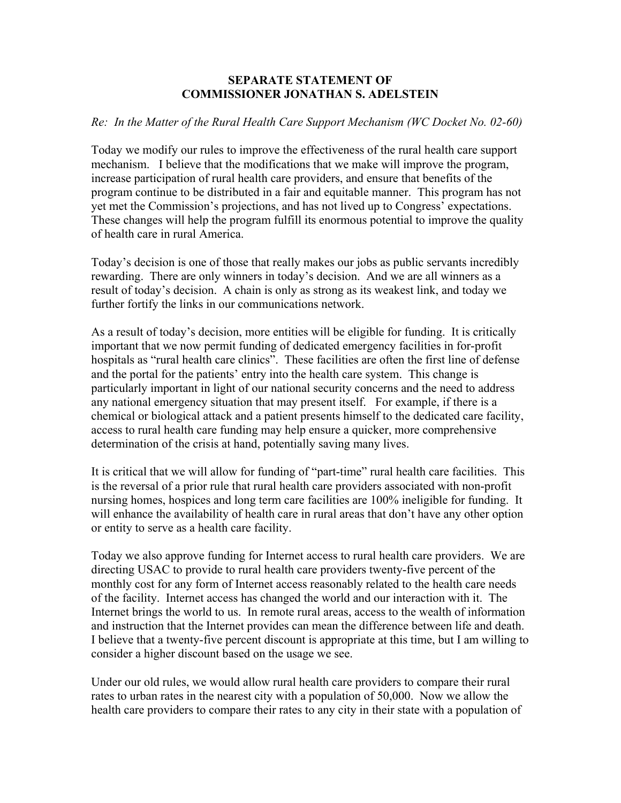## **SEPARATE STATEMENT OF COMMISSIONER JONATHAN S. ADELSTEIN**

## *Re: In the Matter of the Rural Health Care Support Mechanism (WC Docket No. 02-60)*

Today we modify our rules to improve the effectiveness of the rural health care support mechanism. I believe that the modifications that we make will improve the program, increase participation of rural health care providers, and ensure that benefits of the program continue to be distributed in a fair and equitable manner. This program has not yet met the Commission's projections, and has not lived up to Congress' expectations. These changes will help the program fulfill its enormous potential to improve the quality of health care in rural America.

Today's decision is one of those that really makes our jobs as public servants incredibly rewarding. There are only winners in today's decision. And we are all winners as a result of today's decision. A chain is only as strong as its weakest link, and today we further fortify the links in our communications network.

As a result of today's decision, more entities will be eligible for funding. It is critically important that we now permit funding of dedicated emergency facilities in for-profit hospitals as "rural health care clinics". These facilities are often the first line of defense and the portal for the patients' entry into the health care system. This change is particularly important in light of our national security concerns and the need to address any national emergency situation that may present itself. For example, if there is a chemical or biological attack and a patient presents himself to the dedicated care facility, access to rural health care funding may help ensure a quicker, more comprehensive determination of the crisis at hand, potentially saving many lives.

It is critical that we will allow for funding of "part-time" rural health care facilities. This is the reversal of a prior rule that rural health care providers associated with non-profit nursing homes, hospices and long term care facilities are 100% ineligible for funding. It will enhance the availability of health care in rural areas that don't have any other option or entity to serve as a health care facility.

Today we also approve funding for Internet access to rural health care providers. We are directing USAC to provide to rural health care providers twenty-five percent of the monthly cost for any form of Internet access reasonably related to the health care needs of the facility. Internet access has changed the world and our interaction with it. The Internet brings the world to us. In remote rural areas, access to the wealth of information and instruction that the Internet provides can mean the difference between life and death. I believe that a twenty-five percent discount is appropriate at this time, but I am willing to consider a higher discount based on the usage we see.

Under our old rules, we would allow rural health care providers to compare their rural rates to urban rates in the nearest city with a population of 50,000. Now we allow the health care providers to compare their rates to any city in their state with a population of